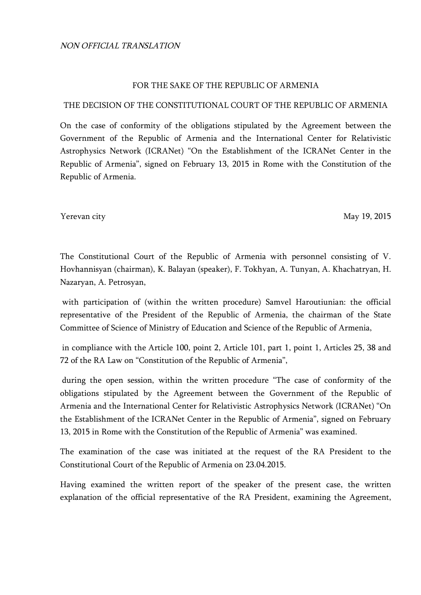## FOR THE SAKE OF THE REPUBLIC OF ARMENIA

## THE DECISION OF THE CONSTITUTIONAL COURT OF THE REPUBLIC OF ARMENIA

On the case of conformity of the obligations stipulated by the Agreement between the Government of the Republic of Armenia and the International Center for Relativistic Astrophysics Network (ICRANet) "On the Establishment of the ICRANet Center in the Republic of Armenia", signed on February 13, 2015 in Rome with the Constitution of the Republic of Armenia.

Yerevan city May 19, 2015

The Constitutional Court of the Republic of Armenia with personnel consisting of V. Hovhannisyan (chairman), K. Balayan (speaker), F. Tokhyan, A. Tunyan, A. Khachatryan, H. Nazaryan, A. Petrosyan,

with participation of (within the written procedure) Samvel Haroutiunian: the official representative of the President of the Republic of Armenia, the chairman of the State Committee of Science of Ministry of Education and Science of the Republic of Armenia,

in compliance with the Article 100, point 2, Article 101, part 1, point 1, Articles 25, 38 and 72 of the RA Law on "Constitution of the Republic of Armenia",

during the open session, within the written procedure "The case of conformity of the obligations stipulated by the Agreement between the Government of the Republic of Armenia and the International Center for Relativistic Astrophysics Network (ICRANet) "On the Establishment of the ICRANet Center in the Republic of Armenia", signed on February 13, 2015 in Rome with the Constitution of the Republic of Armenia" was examined.

The examination of the case was initiated at the request of the RA President to the Constitutional Court of the Republic of Armenia on 23.04.2015.

Having examined the written report of the speaker of the present case, the written explanation of the official representative of the RA President, examining the Agreement,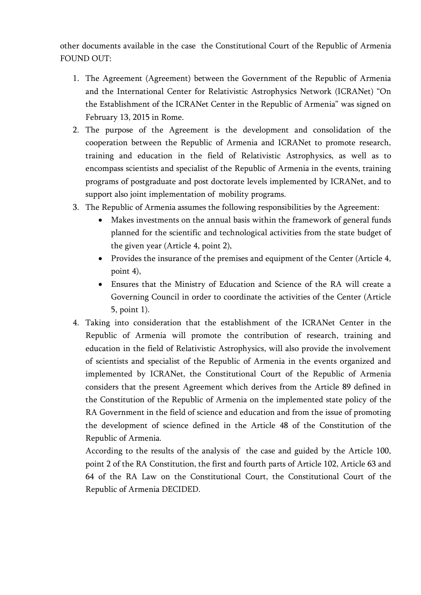other documents available in the case the Constitutional Court of the Republic of Armenia FOUND OUT:

- 1. The Agreement (Agreement) between the Government of the Republic of Armenia and the International Center for Relativistic Astrophysics Network (ICRANet) "On the Establishment of the ICRANet Center in the Republic of Armenia" was signed on February 13, 2015 in Rome.
- 2. The purpose of the Agreement is the development and consolidation of the cooperation between the Republic of Armenia and ICRANet to promote research, training and education in the field of Relativistic Astrophysics, as well as to encompass scientists and specialist of the Republic of Armenia in the events, training programs of postgraduate and post doctorate levels implemented by ICRANet, and to support also joint implementation of mobility programs.
- 3. The Republic of Armenia assumes the following responsibilities by the Agreement:
	- Makes investments on the annual basis within the framework of general funds planned for the scientific and technological activities from the state budget of the given year (Article 4, point 2),
	- Provides the insurance of the premises and equipment of the Center (Article 4, point 4),
	- Ensures that the Ministry of Education and Science of the RA will create a Governing Council in order to coordinate the activities of the Center (Article 5, point 1).
- 4. Taking into consideration that the establishment of the ICRANet Center in the Republic of Armenia will promote the contribution of research, training and education in the field of Relativistic Astrophysics, will also provide the involvement of scientists and specialist of the Republic of Armenia in the events organized and implemented by ICRANet, the Constitutional Court of the Republic of Armenia considers that the present Agreement which derives from the Article 89 defined in the Constitution of the Republic of Armenia on the implemented state policy of the RA Government in the field of science and education and from the issue of promoting the development of science defined in the Article 48 of the Constitution of the Republic of Armenia.

According to the results of the analysis of the case and guided by the Article 100, point 2 of the RA Constitution, the first and fourth parts of Article 102, Article 63 and 64 of the RA Law on the Constitutional Court, the Constitutional Court of the Republic of Armenia DECIDED.